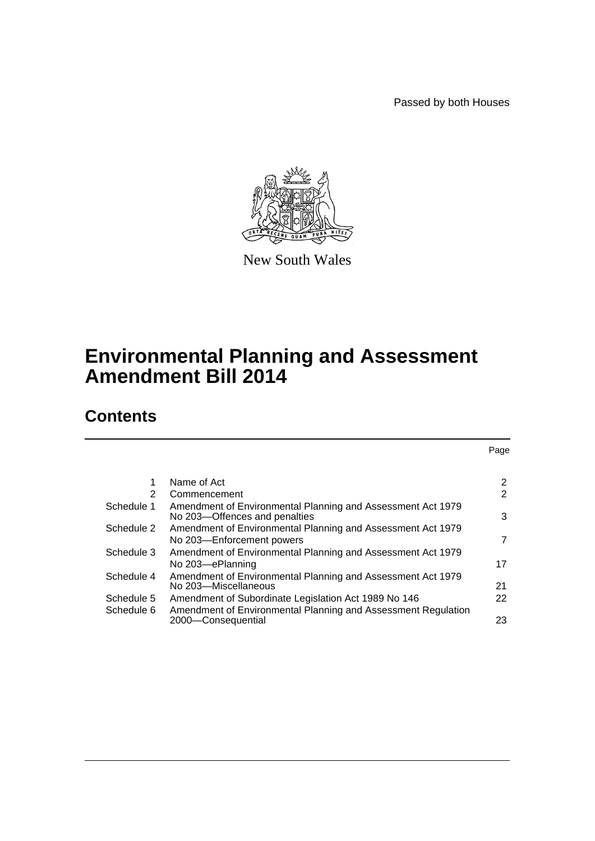Passed by both Houses



New South Wales

# **Environmental Planning and Assessment Amendment Bill 2014**

# **Contents**

|            |                                                                                              | Page                  |
|------------|----------------------------------------------------------------------------------------------|-----------------------|
|            |                                                                                              |                       |
| 1          | Name of Act                                                                                  | $\mathbf{2}^{\prime}$ |
| 2          | Commencement                                                                                 | 2                     |
| Schedule 1 | Amendment of Environmental Planning and Assessment Act 1979<br>No 203-Offences and penalties | 3                     |
| Schedule 2 | Amendment of Environmental Planning and Assessment Act 1979                                  |                       |
|            | No 203-Enforcement powers                                                                    | 7                     |
| Schedule 3 | Amendment of Environmental Planning and Assessment Act 1979                                  |                       |
|            | No 203-ePlanning                                                                             | 17                    |
| Schedule 4 | Amendment of Environmental Planning and Assessment Act 1979<br>No 203-Miscellaneous          | 21                    |
| Schedule 5 | Amendment of Subordinate Legislation Act 1989 No 146                                         | 22                    |
| Schedule 6 | Amendment of Environmental Planning and Assessment Regulation<br>2000-Consequential          | 23                    |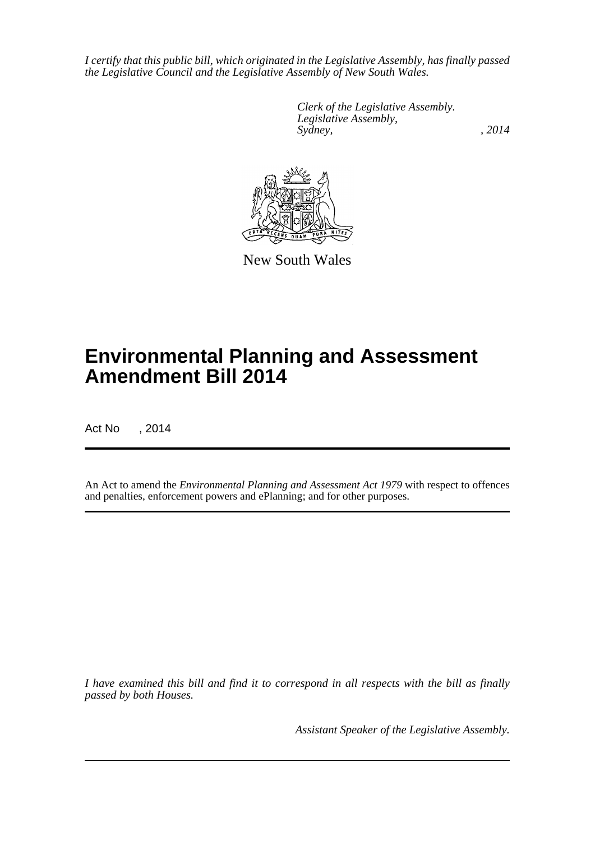*I certify that this public bill, which originated in the Legislative Assembly, has finally passed the Legislative Council and the Legislative Assembly of New South Wales.*

> *Clerk of the Legislative Assembly. Legislative Assembly, Sydney,* , 2014



New South Wales

# **Environmental Planning and Assessment Amendment Bill 2014**

Act No , 2014

An Act to amend the *Environmental Planning and Assessment Act 1979* with respect to offences and penalties, enforcement powers and ePlanning; and for other purposes.

*I have examined this bill and find it to correspond in all respects with the bill as finally passed by both Houses.*

*Assistant Speaker of the Legislative Assembly.*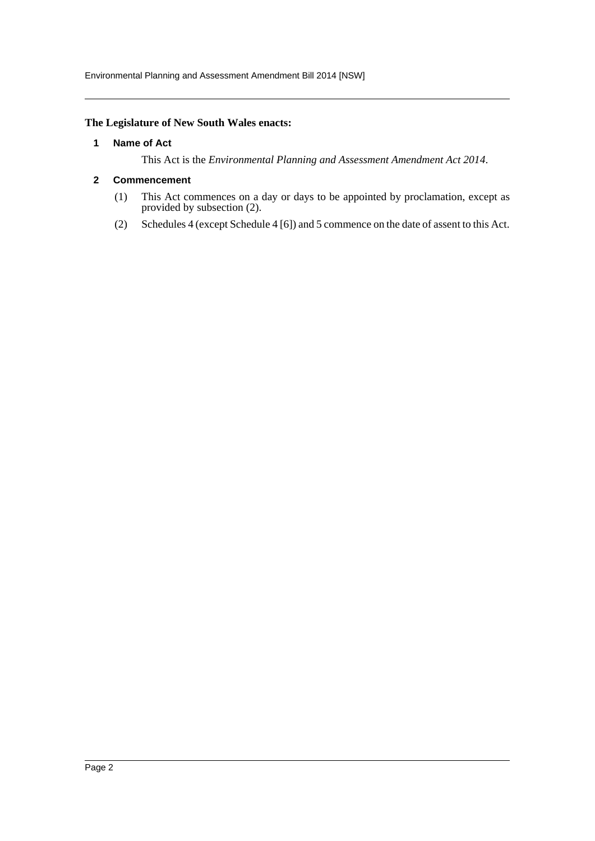# <span id="page-2-0"></span>**The Legislature of New South Wales enacts:**

### **1 Name of Act**

This Act is the *Environmental Planning and Assessment Amendment Act 2014*.

# <span id="page-2-1"></span>**2 Commencement**

- (1) This Act commences on a day or days to be appointed by proclamation, except as provided by subsection (2).
- (2) Schedules 4 (except Schedule 4 [6]) and 5 commence on the date of assent to this Act.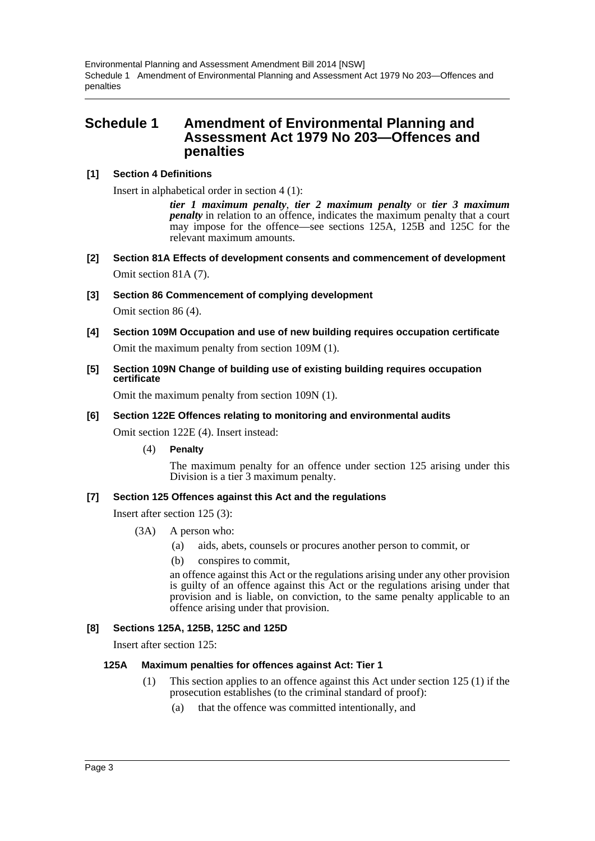Environmental Planning and Assessment Amendment Bill 2014 [NSW] Schedule 1 Amendment of Environmental Planning and Assessment Act 1979 No 203—Offences and penalties

# <span id="page-3-0"></span>**Schedule 1 Amendment of Environmental Planning and Assessment Act 1979 No 203—Offences and penalties**

# **[1] Section 4 Definitions**

Insert in alphabetical order in section 4 (1):

*tier 1 maximum penalty*, *tier 2 maximum penalty* or *tier 3 maximum penalty* in relation to an offence, indicates the maximum penalty that a court may impose for the offence—see sections 125A, 125B and 125C for the relevant maximum amounts.

- **[2] Section 81A Effects of development consents and commencement of development** Omit section 81A (7).
- **[3] Section 86 Commencement of complying development**

Omit section 86 (4).

- **[4] Section 109M Occupation and use of new building requires occupation certificate** Omit the maximum penalty from section 109M (1).
- **[5] Section 109N Change of building use of existing building requires occupation certificate**

Omit the maximum penalty from section 109N (1).

#### **[6] Section 122E Offences relating to monitoring and environmental audits**

Omit section 122E (4). Insert instead:

(4) **Penalty**

The maximum penalty for an offence under section 125 arising under this Division is a tier 3 maximum penalty.

#### **[7] Section 125 Offences against this Act and the regulations**

Insert after section 125 (3):

- (3A) A person who:
	- (a) aids, abets, counsels or procures another person to commit, or
	- (b) conspires to commit,

an offence against this Act or the regulations arising under any other provision is guilty of an offence against this Act or the regulations arising under that provision and is liable, on conviction, to the same penalty applicable to an offence arising under that provision.

#### **[8] Sections 125A, 125B, 125C and 125D**

Insert after section 125:

#### **125A Maximum penalties for offences against Act: Tier 1**

- (1) This section applies to an offence against this Act under section 125 (1) if the prosecution establishes (to the criminal standard of proof):
	- (a) that the offence was committed intentionally, and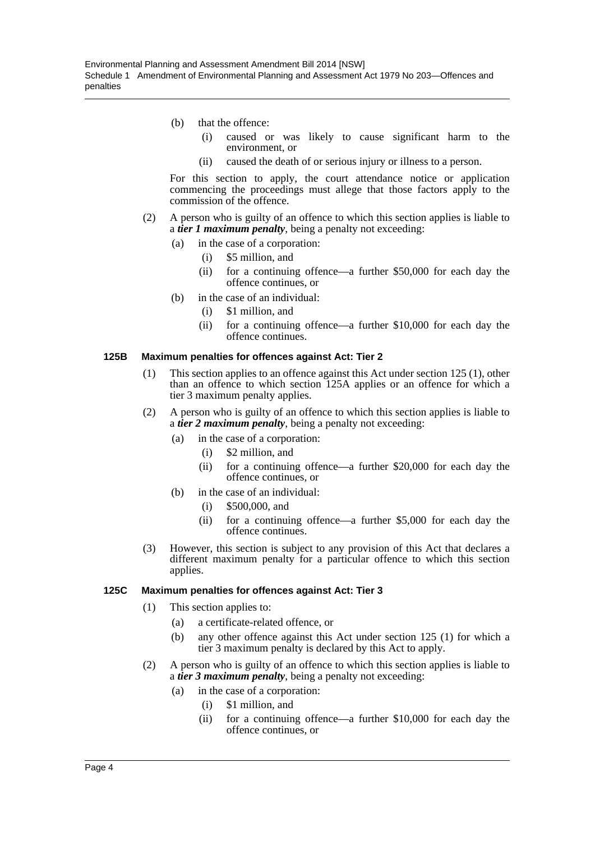- (b) that the offence:
	- (i) caused or was likely to cause significant harm to the environment, or
	- (ii) caused the death of or serious injury or illness to a person.

For this section to apply, the court attendance notice or application commencing the proceedings must allege that those factors apply to the commission of the offence.

- (2) A person who is guilty of an offence to which this section applies is liable to a *tier 1 maximum penalty*, being a penalty not exceeding:
	- (a) in the case of a corporation:
		- (i) \$5 million, and
		- (ii) for a continuing offence—a further \$50,000 for each day the offence continues, or
	- (b) in the case of an individual:
		- (i) \$1 million, and
		- (ii) for a continuing offence—a further \$10,000 for each day the offence continues.

#### **125B Maximum penalties for offences against Act: Tier 2**

- (1) This section applies to an offence against this Act under section 125 (1), other than an offence to which section 125A applies or an offence for which a tier 3 maximum penalty applies.
- (2) A person who is guilty of an offence to which this section applies is liable to a *tier 2 maximum penalty*, being a penalty not exceeding:
	- (a) in the case of a corporation:
		- (i) \$2 million, and
		- (ii) for a continuing offence—a further \$20,000 for each day the offence continues, or
	- (b) in the case of an individual:
		- (i) \$500,000, and
		- (ii) for a continuing offence—a further \$5,000 for each day the offence continues.
- (3) However, this section is subject to any provision of this Act that declares a different maximum penalty for a particular offence to which this section applies.

#### **125C Maximum penalties for offences against Act: Tier 3**

- (1) This section applies to:
	- (a) a certificate-related offence, or
	- (b) any other offence against this Act under section 125 (1) for which a tier 3 maximum penalty is declared by this Act to apply.
- (2) A person who is guilty of an offence to which this section applies is liable to a *tier 3 maximum penalty*, being a penalty not exceeding:
	- (a) in the case of a corporation:
		- (i) \$1 million, and
		- (ii) for a continuing offence—a further \$10,000 for each day the offence continues, or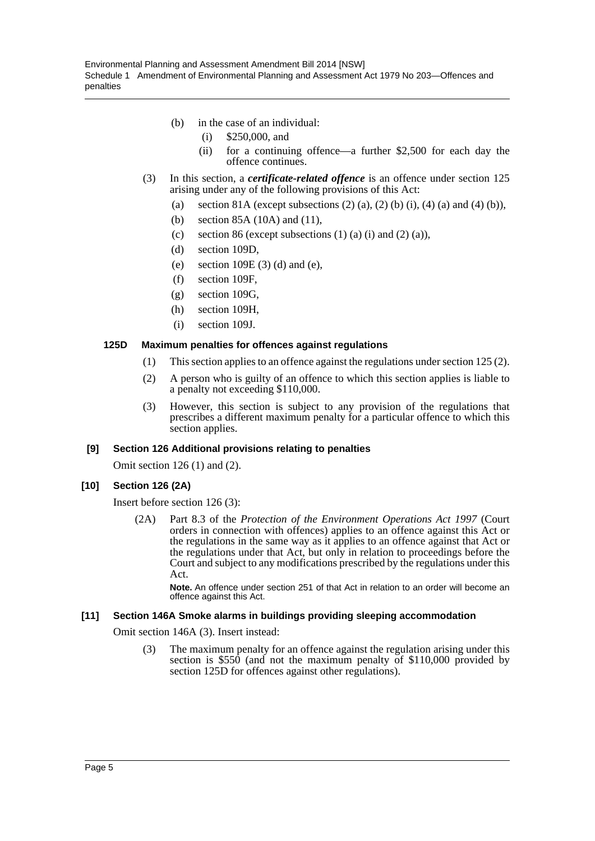- (b) in the case of an individual:
	- (i) \$250,000, and
	- (ii) for a continuing offence—a further \$2,500 for each day the offence continues.
- (3) In this section, a *certificate-related offence* is an offence under section 125 arising under any of the following provisions of this Act:
	- (a) section 81A (except subsections  $(2)$  (a),  $(2)$  (b) (i),  $(4)$  (a) and  $(4)$  (b)),
	- (b) section 85A (10A) and (11),
	- (c) section 86 (except subsections  $(1)$   $(a)$   $(i)$  and  $(2)$   $(a)$ ),
	- (d) section 109D,
	- (e) section 109E (3) (d) and (e),
	- (f) section 109F,
	- (g) section 109G,
	- (h) section 109H,
	- (i) section 109J.

# **125D Maximum penalties for offences against regulations**

- (1) This section applies to an offence against the regulations under section 125 (2).
- (2) A person who is guilty of an offence to which this section applies is liable to a penalty not exceeding \$110,000.
- (3) However, this section is subject to any provision of the regulations that prescribes a different maximum penalty for a particular offence to which this section applies.

#### **[9] Section 126 Additional provisions relating to penalties**

Omit section 126 (1) and (2).

#### **[10] Section 126 (2A)**

Insert before section 126 (3):

(2A) Part 8.3 of the *Protection of the Environment Operations Act 1997* (Court orders in connection with offences) applies to an offence against this Act or the regulations in the same way as it applies to an offence against that Act or the regulations under that Act, but only in relation to proceedings before the Court and subject to any modifications prescribed by the regulations under this Act.

**Note.** An offence under section 251 of that Act in relation to an order will become an offence against this Act.

#### **[11] Section 146A Smoke alarms in buildings providing sleeping accommodation**

Omit section 146A (3). Insert instead:

(3) The maximum penalty for an offence against the regulation arising under this section is \$550 (and not the maximum penalty of \$110,000 provided by section 125D for offences against other regulations).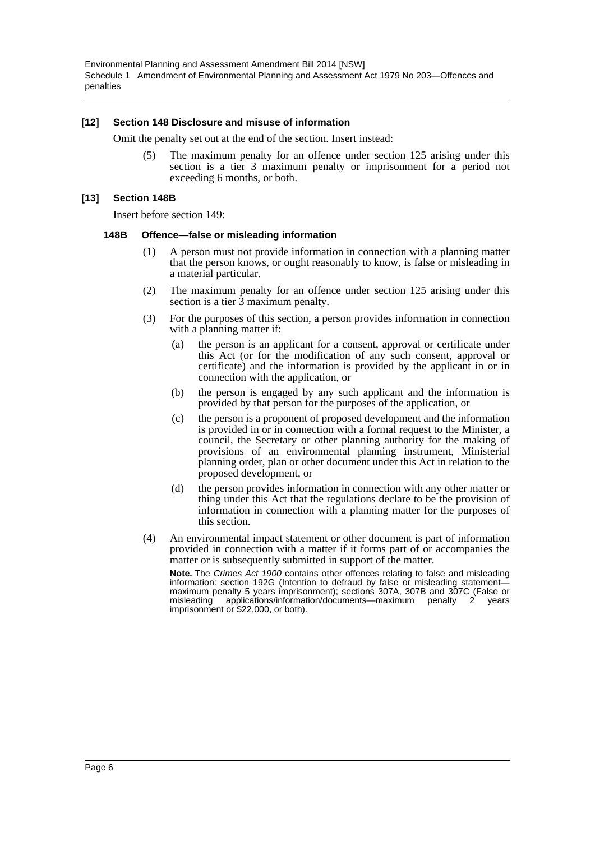Environmental Planning and Assessment Amendment Bill 2014 [NSW] Schedule 1 Amendment of Environmental Planning and Assessment Act 1979 No 203—Offences and penalties

#### **[12] Section 148 Disclosure and misuse of information**

Omit the penalty set out at the end of the section. Insert instead:

(5) The maximum penalty for an offence under section 125 arising under this section is a tier 3 maximum penalty or imprisonment for a period not exceeding 6 months, or both.

#### **[13] Section 148B**

Insert before section 149:

#### **148B Offence—false or misleading information**

- (1) A person must not provide information in connection with a planning matter that the person knows, or ought reasonably to know, is false or misleading in a material particular.
- (2) The maximum penalty for an offence under section 125 arising under this section is a tier  $\overline{3}$  maximum penalty.
- (3) For the purposes of this section, a person provides information in connection with a planning matter if:
	- (a) the person is an applicant for a consent, approval or certificate under this Act (or for the modification of any such consent, approval or certificate) and the information is provided by the applicant in or in connection with the application, or
	- (b) the person is engaged by any such applicant and the information is provided by that person for the purposes of the application, or
	- (c) the person is a proponent of proposed development and the information is provided in or in connection with a formal request to the Minister, a council, the Secretary or other planning authority for the making of provisions of an environmental planning instrument, Ministerial planning order, plan or other document under this Act in relation to the proposed development, or
	- (d) the person provides information in connection with any other matter or thing under this Act that the regulations declare to be the provision of information in connection with a planning matter for the purposes of this section.
- (4) An environmental impact statement or other document is part of information provided in connection with a matter if it forms part of or accompanies the matter or is subsequently submitted in support of the matter.

**Note.** The *Crimes Act 1900* contains other offences relating to false and misleading information: section 192G (Intention to defraud by false or misleading statementmaximum penalty 5 years imprisonment); sections 307A, 307B and 307C (False or misleading applications/information/documents—maximum penalty 2 years misleading applications/information/documents-maximum penalty 2 imprisonment or \$22,000, or both).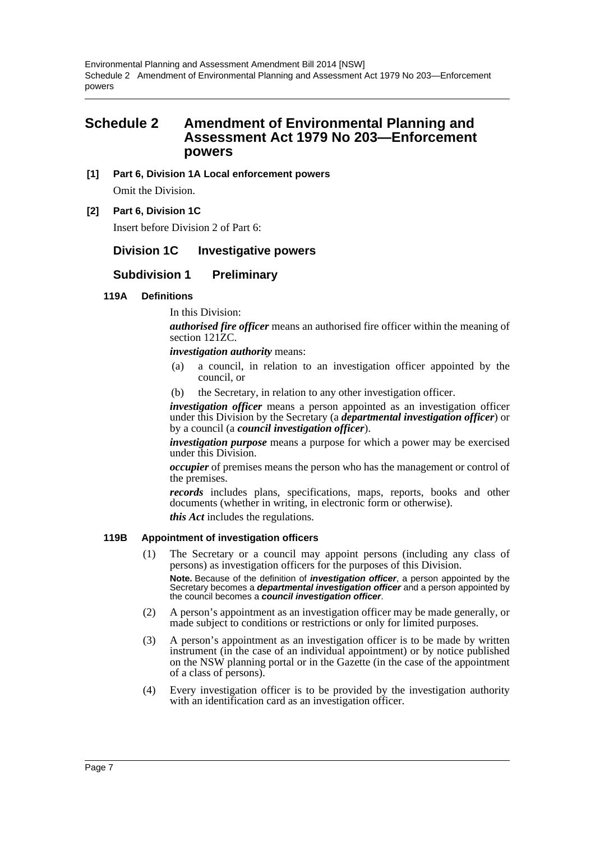# <span id="page-7-0"></span>**Schedule 2 Amendment of Environmental Planning and Assessment Act 1979 No 203—Enforcement powers**

# **[1] Part 6, Division 1A Local enforcement powers**

Omit the Division.

# **[2] Part 6, Division 1C**

Insert before Division 2 of Part 6:

# **Division 1C Investigative powers**

# **Subdivision 1 Preliminary**

# **119A Definitions**

In this Division:

*authorised fire officer* means an authorised fire officer within the meaning of section 121<sub>ZC</sub>.

#### *investigation authority* means:

- (a) a council, in relation to an investigation officer appointed by the council, or
- (b) the Secretary, in relation to any other investigation officer.

*investigation officer* means a person appointed as an investigation officer under this Division by the Secretary (a *departmental investigation officer*) or by a council (a *council investigation officer*).

*investigation purpose* means a purpose for which a power may be exercised under this Division.

*occupier* of premises means the person who has the management or control of the premises.

*records* includes plans, specifications, maps, reports, books and other documents (whether in writing, in electronic form or otherwise). *this Act* includes the regulations.

#### **119B Appointment of investigation officers**

- (1) The Secretary or a council may appoint persons (including any class of persons) as investigation officers for the purposes of this Division. **Note.** Because of the definition of *investigation officer*, a person appointed by the Secretary becomes a *departmental investigation officer* and a person appointed by the council becomes a *council investigation officer*.
- (2) A person's appointment as an investigation officer may be made generally, or made subject to conditions or restrictions or only for limited purposes.
- (3) A person's appointment as an investigation officer is to be made by written instrument (in the case of an individual appointment) or by notice published on the NSW planning portal or in the Gazette (in the case of the appointment of a class of persons).
- (4) Every investigation officer is to be provided by the investigation authority with an identification card as an investigation officer.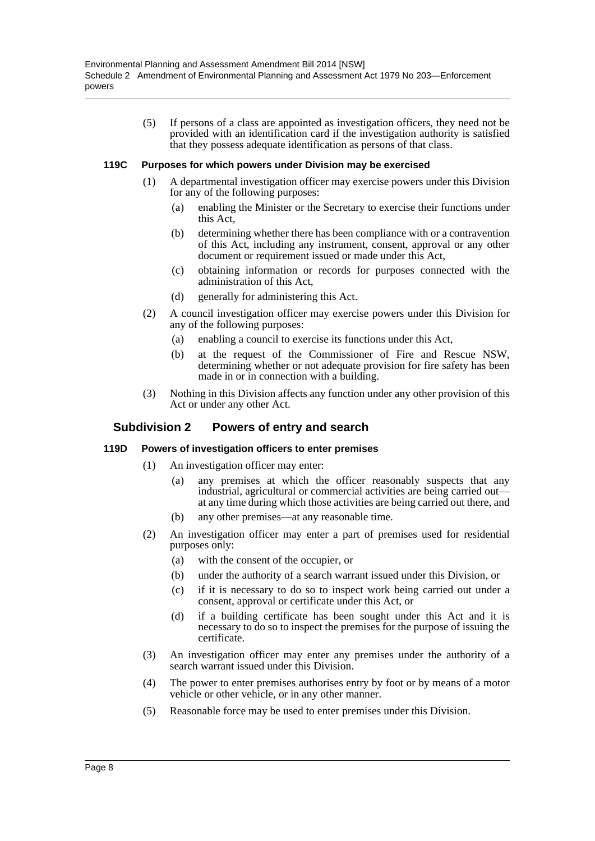(5) If persons of a class are appointed as investigation officers, they need not be provided with an identification card if the investigation authority is satisfied that they possess adequate identification as persons of that class.

#### **119C Purposes for which powers under Division may be exercised**

- (1) A departmental investigation officer may exercise powers under this Division for any of the following purposes:
	- (a) enabling the Minister or the Secretary to exercise their functions under this Act,
	- (b) determining whether there has been compliance with or a contravention of this Act, including any instrument, consent, approval or any other document or requirement issued or made under this Act,
	- (c) obtaining information or records for purposes connected with the administration of this Act,
	- (d) generally for administering this Act.
- (2) A council investigation officer may exercise powers under this Division for any of the following purposes:
	- (a) enabling a council to exercise its functions under this Act,
	- (b) at the request of the Commissioner of Fire and Rescue NSW, determining whether or not adequate provision for fire safety has been made in or in connection with a building.
- (3) Nothing in this Division affects any function under any other provision of this Act or under any other Act.

#### **Subdivision 2 Powers of entry and search**

#### **119D Powers of investigation officers to enter premises**

- (1) An investigation officer may enter:
	- (a) any premises at which the officer reasonably suspects that any industrial, agricultural or commercial activities are being carried out at any time during which those activities are being carried out there, and
	- (b) any other premises—at any reasonable time.
- (2) An investigation officer may enter a part of premises used for residential purposes only:
	- (a) with the consent of the occupier, or
	- (b) under the authority of a search warrant issued under this Division, or
	- (c) if it is necessary to do so to inspect work being carried out under a consent, approval or certificate under this Act, or
	- (d) if a building certificate has been sought under this Act and it is necessary to do so to inspect the premises for the purpose of issuing the certificate.
- (3) An investigation officer may enter any premises under the authority of a search warrant issued under this Division.
- (4) The power to enter premises authorises entry by foot or by means of a motor vehicle or other vehicle, or in any other manner.
- (5) Reasonable force may be used to enter premises under this Division.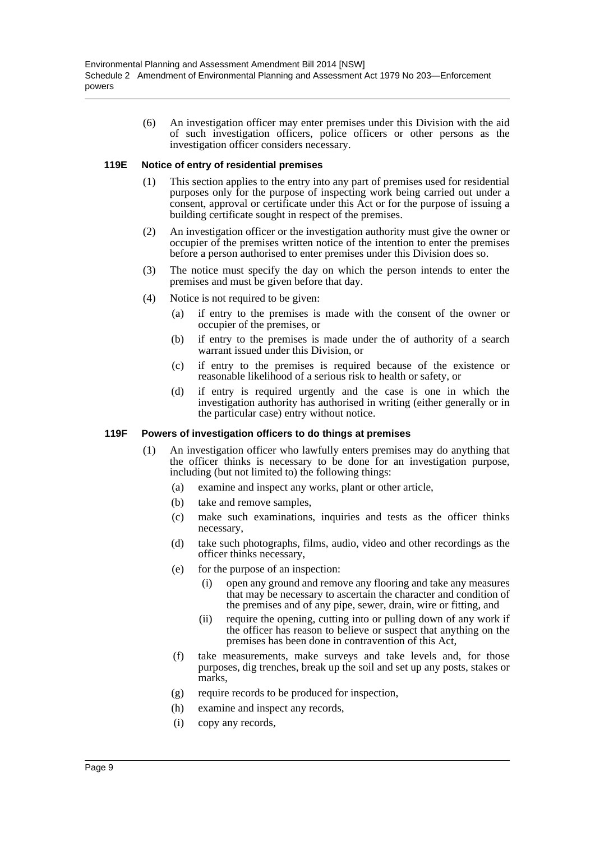(6) An investigation officer may enter premises under this Division with the aid of such investigation officers, police officers or other persons as the investigation officer considers necessary.

#### **119E Notice of entry of residential premises**

- (1) This section applies to the entry into any part of premises used for residential purposes only for the purpose of inspecting work being carried out under a consent, approval or certificate under this Act or for the purpose of issuing a building certificate sought in respect of the premises.
- (2) An investigation officer or the investigation authority must give the owner or occupier of the premises written notice of the intention to enter the premises before a person authorised to enter premises under this Division does so.
- (3) The notice must specify the day on which the person intends to enter the premises and must be given before that day.
- (4) Notice is not required to be given:
	- (a) if entry to the premises is made with the consent of the owner or occupier of the premises, or
	- (b) if entry to the premises is made under the of authority of a search warrant issued under this Division, or
	- (c) if entry to the premises is required because of the existence or reasonable likelihood of a serious risk to health or safety, or
	- (d) if entry is required urgently and the case is one in which the investigation authority has authorised in writing (either generally or in the particular case) entry without notice.

#### **119F Powers of investigation officers to do things at premises**

- (1) An investigation officer who lawfully enters premises may do anything that the officer thinks is necessary to be done for an investigation purpose, including (but not limited to) the following things:
	- (a) examine and inspect any works, plant or other article,
	- (b) take and remove samples,
	- (c) make such examinations, inquiries and tests as the officer thinks necessary,
	- (d) take such photographs, films, audio, video and other recordings as the officer thinks necessary,
	- (e) for the purpose of an inspection:
		- (i) open any ground and remove any flooring and take any measures that may be necessary to ascertain the character and condition of the premises and of any pipe, sewer, drain, wire or fitting, and
		- (ii) require the opening, cutting into or pulling down of any work if the officer has reason to believe or suspect that anything on the premises has been done in contravention of this Act,
	- (f) take measurements, make surveys and take levels and, for those purposes, dig trenches, break up the soil and set up any posts, stakes or marks,
	- (g) require records to be produced for inspection,
	- (h) examine and inspect any records,
	- (i) copy any records,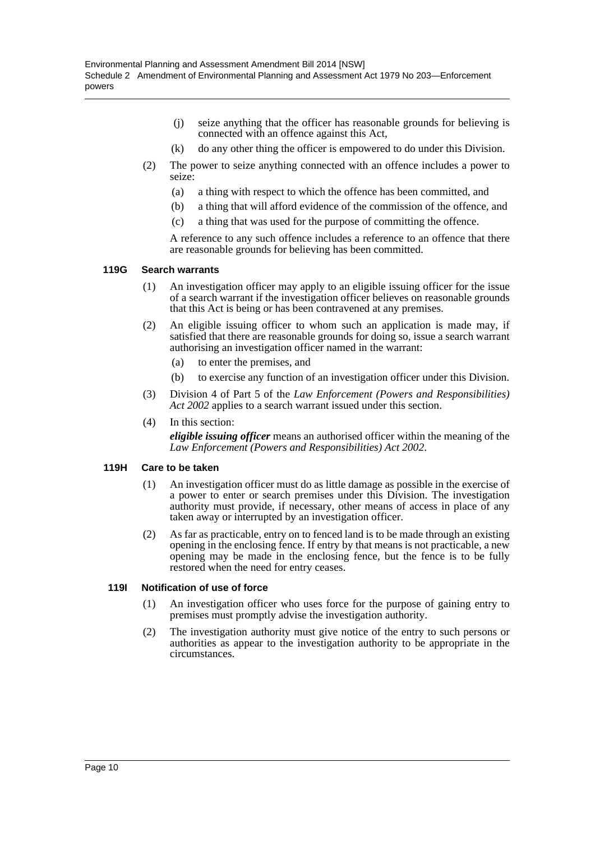- (j) seize anything that the officer has reasonable grounds for believing is connected with an offence against this Act,
- (k) do any other thing the officer is empowered to do under this Division.
- (2) The power to seize anything connected with an offence includes a power to seize:
	- (a) a thing with respect to which the offence has been committed, and
	- (b) a thing that will afford evidence of the commission of the offence, and
	- (c) a thing that was used for the purpose of committing the offence.

A reference to any such offence includes a reference to an offence that there are reasonable grounds for believing has been committed.

#### **119G Search warrants**

- (1) An investigation officer may apply to an eligible issuing officer for the issue of a search warrant if the investigation officer believes on reasonable grounds that this Act is being or has been contravened at any premises.
- (2) An eligible issuing officer to whom such an application is made may, if satisfied that there are reasonable grounds for doing so, issue a search warrant authorising an investigation officer named in the warrant:
	- (a) to enter the premises, and
	- (b) to exercise any function of an investigation officer under this Division.
- (3) Division 4 of Part 5 of the *Law Enforcement (Powers and Responsibilities) Act 2002* applies to a search warrant issued under this section.
- (4) In this section:

*eligible issuing officer* means an authorised officer within the meaning of the *Law Enforcement (Powers and Responsibilities) Act 2002*.

#### **119H Care to be taken**

- (1) An investigation officer must do as little damage as possible in the exercise of a power to enter or search premises under this Division. The investigation authority must provide, if necessary, other means of access in place of any taken away or interrupted by an investigation officer.
- (2) As far as practicable, entry on to fenced land is to be made through an existing opening in the enclosing fence. If entry by that means is not practicable, a new opening may be made in the enclosing fence, but the fence is to be fully restored when the need for entry ceases.

#### **119I Notification of use of force**

- (1) An investigation officer who uses force for the purpose of gaining entry to premises must promptly advise the investigation authority.
- (2) The investigation authority must give notice of the entry to such persons or authorities as appear to the investigation authority to be appropriate in the circumstances.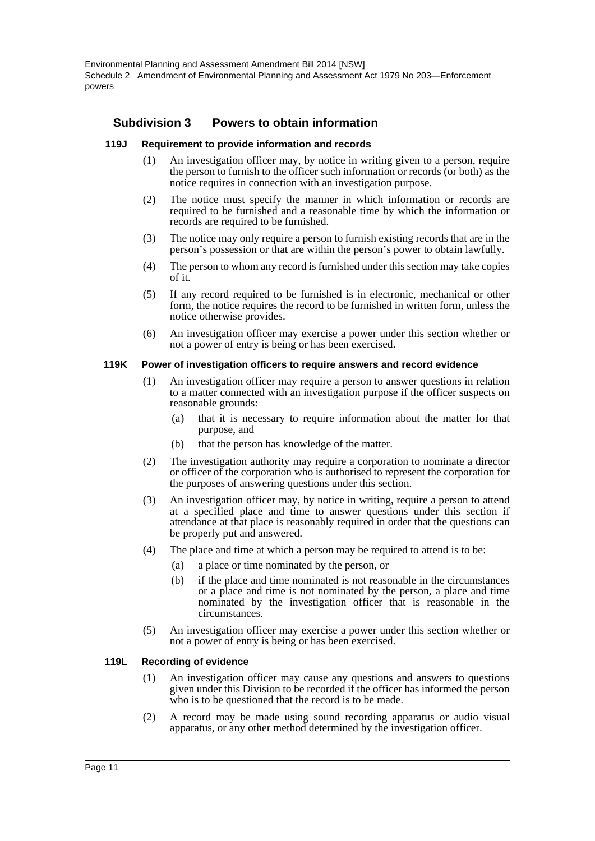# **Subdivision 3 Powers to obtain information**

#### **119J Requirement to provide information and records**

- (1) An investigation officer may, by notice in writing given to a person, require the person to furnish to the officer such information or records (or both) as the notice requires in connection with an investigation purpose.
- (2) The notice must specify the manner in which information or records are required to be furnished and a reasonable time by which the information or records are required to be furnished.
- (3) The notice may only require a person to furnish existing records that are in the person's possession or that are within the person's power to obtain lawfully.
- (4) The person to whom any record is furnished under this section may take copies of it.
- (5) If any record required to be furnished is in electronic, mechanical or other form, the notice requires the record to be furnished in written form, unless the notice otherwise provides.
- (6) An investigation officer may exercise a power under this section whether or not a power of entry is being or has been exercised.

#### **119K Power of investigation officers to require answers and record evidence**

- (1) An investigation officer may require a person to answer questions in relation to a matter connected with an investigation purpose if the officer suspects on reasonable grounds:
	- (a) that it is necessary to require information about the matter for that purpose, and
	- (b) that the person has knowledge of the matter.
- (2) The investigation authority may require a corporation to nominate a director or officer of the corporation who is authorised to represent the corporation for the purposes of answering questions under this section.
- (3) An investigation officer may, by notice in writing, require a person to attend at a specified place and time to answer questions under this section if attendance at that place is reasonably required in order that the questions can be properly put and answered.
- (4) The place and time at which a person may be required to attend is to be:
	- (a) a place or time nominated by the person, or
	- (b) if the place and time nominated is not reasonable in the circumstances or a place and time is not nominated by the person, a place and time nominated by the investigation officer that is reasonable in the circumstances.
- (5) An investigation officer may exercise a power under this section whether or not a power of entry is being or has been exercised.

#### **119L Recording of evidence**

- (1) An investigation officer may cause any questions and answers to questions given under this Division to be recorded if the officer has informed the person who is to be questioned that the record is to be made.
- (2) A record may be made using sound recording apparatus or audio visual apparatus, or any other method determined by the investigation officer.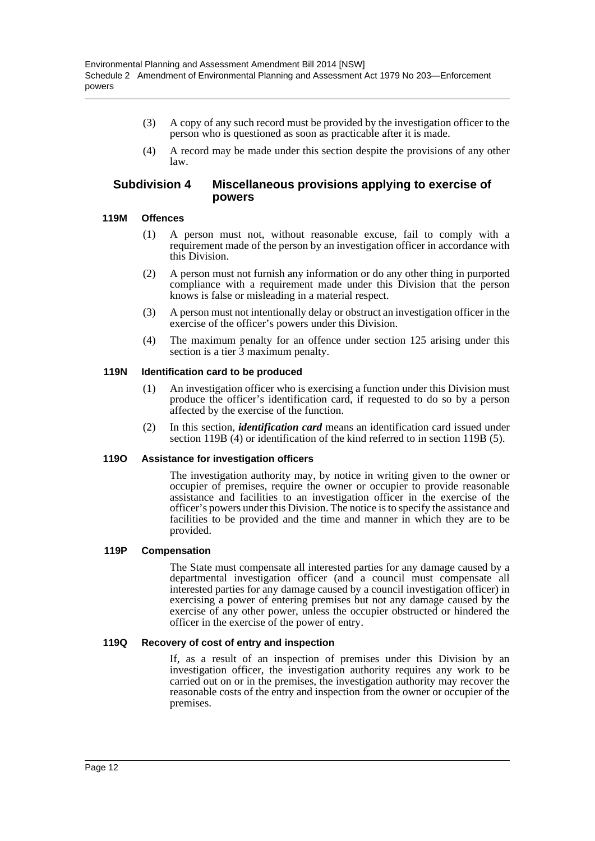- (3) A copy of any such record must be provided by the investigation officer to the person who is questioned as soon as practicable after it is made.
- (4) A record may be made under this section despite the provisions of any other law.

# **Subdivision 4 Miscellaneous provisions applying to exercise of powers**

# **119M Offences**

- (1) A person must not, without reasonable excuse, fail to comply with a requirement made of the person by an investigation officer in accordance with this Division.
- (2) A person must not furnish any information or do any other thing in purported compliance with a requirement made under this Division that the person knows is false or misleading in a material respect.
- (3) A person must not intentionally delay or obstruct an investigation officer in the exercise of the officer's powers under this Division.
- (4) The maximum penalty for an offence under section 125 arising under this section is a tier  $\hat{3}$  maximum penalty.

# **119N Identification card to be produced**

- (1) An investigation officer who is exercising a function under this Division must produce the officer's identification card, if requested to do so by a person affected by the exercise of the function.
- (2) In this section, *identification card* means an identification card issued under section 119B (4) or identification of the kind referred to in section 119B (5).

#### **119O Assistance for investigation officers**

The investigation authority may, by notice in writing given to the owner or occupier of premises, require the owner or occupier to provide reasonable assistance and facilities to an investigation officer in the exercise of the officer's powers under this Division. The notice is to specify the assistance and facilities to be provided and the time and manner in which they are to be provided.

#### **119P Compensation**

The State must compensate all interested parties for any damage caused by a departmental investigation officer (and a council must compensate all interested parties for any damage caused by a council investigation officer) in exercising a power of entering premises but not any damage caused by the exercise of any other power, unless the occupier obstructed or hindered the officer in the exercise of the power of entry.

#### **119Q Recovery of cost of entry and inspection**

If, as a result of an inspection of premises under this Division by an investigation officer, the investigation authority requires any work to be carried out on or in the premises, the investigation authority may recover the reasonable costs of the entry and inspection from the owner or occupier of the premises.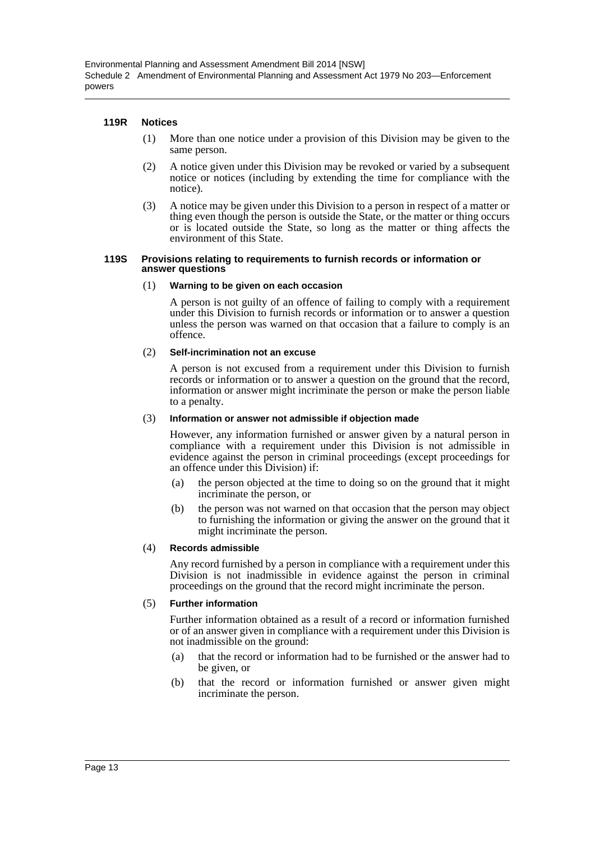#### **119R Notices**

- (1) More than one notice under a provision of this Division may be given to the same person.
- (2) A notice given under this Division may be revoked or varied by a subsequent notice or notices (including by extending the time for compliance with the notice).
- (3) A notice may be given under this Division to a person in respect of a matter or thing even though the person is outside the State, or the matter or thing occurs or is located outside the State, so long as the matter or thing affects the environment of this State.

#### **119S Provisions relating to requirements to furnish records or information or answer questions**

#### (1) **Warning to be given on each occasion**

A person is not guilty of an offence of failing to comply with a requirement under this Division to furnish records or information or to answer a question unless the person was warned on that occasion that a failure to comply is an offence.

#### (2) **Self-incrimination not an excuse**

A person is not excused from a requirement under this Division to furnish records or information or to answer a question on the ground that the record, information or answer might incriminate the person or make the person liable to a penalty.

#### (3) **Information or answer not admissible if objection made**

However, any information furnished or answer given by a natural person in compliance with a requirement under this Division is not admissible in evidence against the person in criminal proceedings (except proceedings for an offence under this Division) if:

- (a) the person objected at the time to doing so on the ground that it might incriminate the person, or
- (b) the person was not warned on that occasion that the person may object to furnishing the information or giving the answer on the ground that it might incriminate the person.

#### (4) **Records admissible**

Any record furnished by a person in compliance with a requirement under this Division is not inadmissible in evidence against the person in criminal proceedings on the ground that the record might incriminate the person.

#### (5) **Further information**

Further information obtained as a result of a record or information furnished or of an answer given in compliance with a requirement under this Division is not inadmissible on the ground:

- (a) that the record or information had to be furnished or the answer had to be given, or
- (b) that the record or information furnished or answer given might incriminate the person.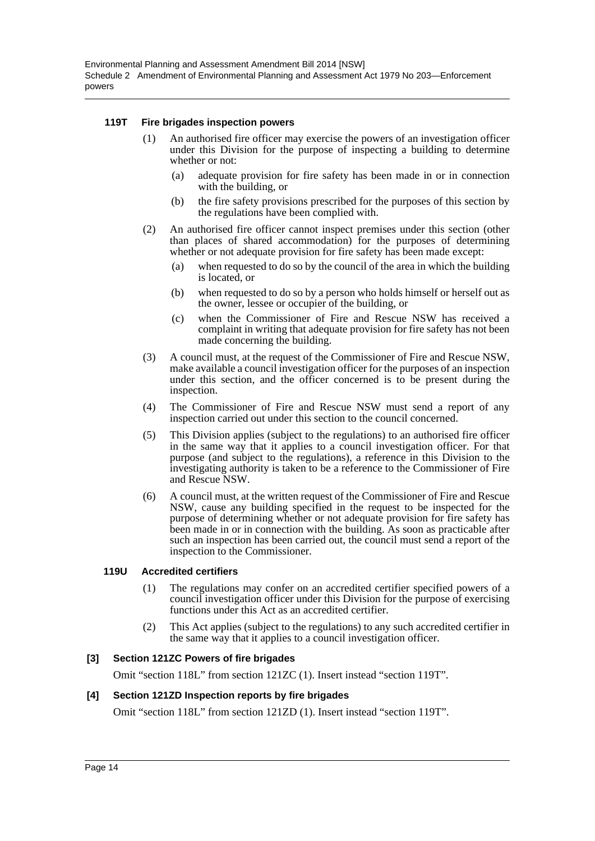#### **119T Fire brigades inspection powers**

- (1) An authorised fire officer may exercise the powers of an investigation officer under this Division for the purpose of inspecting a building to determine whether or not:
	- (a) adequate provision for fire safety has been made in or in connection with the building, or
	- (b) the fire safety provisions prescribed for the purposes of this section by the regulations have been complied with.
- (2) An authorised fire officer cannot inspect premises under this section (other than places of shared accommodation) for the purposes of determining whether or not adequate provision for fire safety has been made except:
	- (a) when requested to do so by the council of the area in which the building is located, or
	- (b) when requested to do so by a person who holds himself or herself out as the owner, lessee or occupier of the building, or
	- (c) when the Commissioner of Fire and Rescue NSW has received a complaint in writing that adequate provision for fire safety has not been made concerning the building.
- (3) A council must, at the request of the Commissioner of Fire and Rescue NSW, make available a council investigation officer for the purposes of an inspection under this section, and the officer concerned is to be present during the inspection.
- (4) The Commissioner of Fire and Rescue NSW must send a report of any inspection carried out under this section to the council concerned.
- (5) This Division applies (subject to the regulations) to an authorised fire officer in the same way that it applies to a council investigation officer. For that purpose (and subject to the regulations), a reference in this Division to the investigating authority is taken to be a reference to the Commissioner of Fire and Rescue NSW.
- (6) A council must, at the written request of the Commissioner of Fire and Rescue NSW, cause any building specified in the request to be inspected for the purpose of determining whether or not adequate provision for fire safety has been made in or in connection with the building. As soon as practicable after such an inspection has been carried out, the council must send a report of the inspection to the Commissioner.

#### **119U Accredited certifiers**

- (1) The regulations may confer on an accredited certifier specified powers of a council investigation officer under this Division for the purpose of exercising functions under this Act as an accredited certifier.
- (2) This Act applies (subject to the regulations) to any such accredited certifier in the same way that it applies to a council investigation officer.

#### **[3] Section 121ZC Powers of fire brigades**

Omit "section 118L" from section 121ZC (1). Insert instead "section 119T".

#### **[4] Section 121ZD Inspection reports by fire brigades**

Omit "section 118L" from section 121ZD (1). Insert instead "section 119T".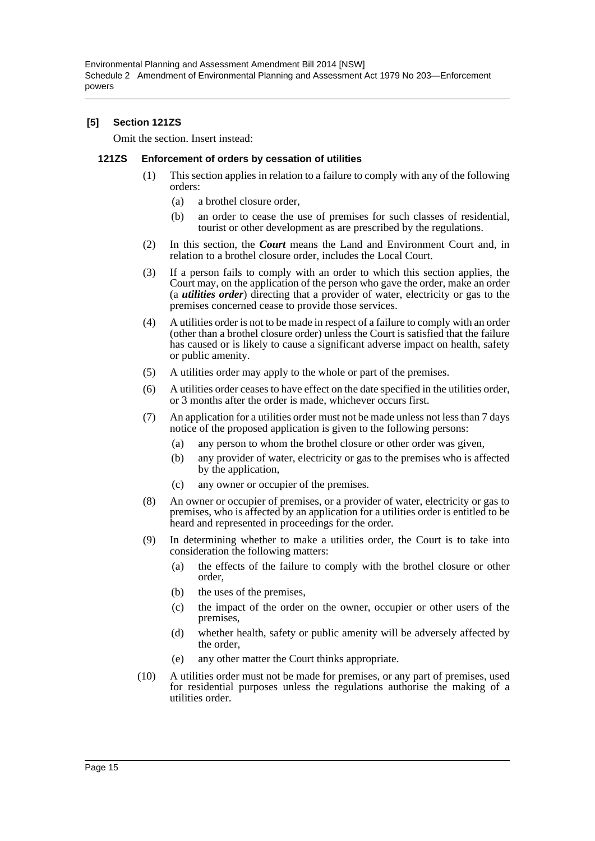Environmental Planning and Assessment Amendment Bill 2014 [NSW] Schedule 2 Amendment of Environmental Planning and Assessment Act 1979 No 203—Enforcement powers

#### **[5] Section 121ZS**

Omit the section. Insert instead:

#### **121ZS Enforcement of orders by cessation of utilities**

- (1) This section applies in relation to a failure to comply with any of the following orders:
	- (a) a brothel closure order,
	- (b) an order to cease the use of premises for such classes of residential, tourist or other development as are prescribed by the regulations.
- (2) In this section, the *Court* means the Land and Environment Court and, in relation to a brothel closure order, includes the Local Court.
- (3) If a person fails to comply with an order to which this section applies, the Court may, on the application of the person who gave the order, make an order (a *utilities order*) directing that a provider of water, electricity or gas to the premises concerned cease to provide those services.
- (4) A utilities order is not to be made in respect of a failure to comply with an order (other than a brothel closure order) unless the Court is satisfied that the failure has caused or is likely to cause a significant adverse impact on health, safety or public amenity.
- (5) A utilities order may apply to the whole or part of the premises.
- (6) A utilities order ceases to have effect on the date specified in the utilities order, or 3 months after the order is made, whichever occurs first.
- (7) An application for a utilities order must not be made unless not less than 7 days notice of the proposed application is given to the following persons:
	- (a) any person to whom the brothel closure or other order was given,
	- (b) any provider of water, electricity or gas to the premises who is affected by the application,
	- (c) any owner or occupier of the premises.
- (8) An owner or occupier of premises, or a provider of water, electricity or gas to premises, who is affected by an application for a utilities order is entitled to be heard and represented in proceedings for the order.
- (9) In determining whether to make a utilities order, the Court is to take into consideration the following matters:
	- (a) the effects of the failure to comply with the brothel closure or other order,
	- (b) the uses of the premises,
	- (c) the impact of the order on the owner, occupier or other users of the premises,
	- (d) whether health, safety or public amenity will be adversely affected by the order,
	- (e) any other matter the Court thinks appropriate.
- (10) A utilities order must not be made for premises, or any part of premises, used for residential purposes unless the regulations authorise the making of a utilities order.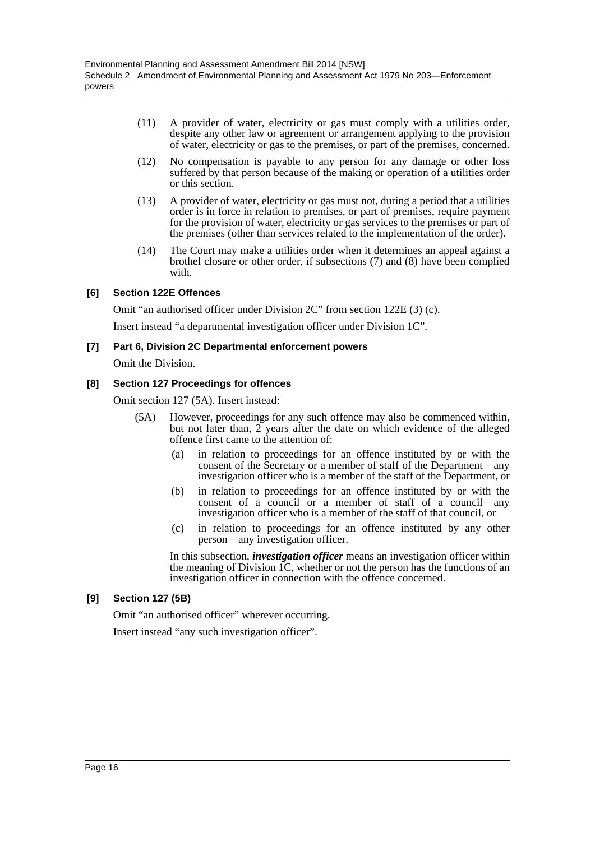- (11) A provider of water, electricity or gas must comply with a utilities order, despite any other law or agreement or arrangement applying to the provision of water, electricity or gas to the premises, or part of the premises, concerned.
- (12) No compensation is payable to any person for any damage or other loss suffered by that person because of the making or operation of a utilities order or this section.
- (13) A provider of water, electricity or gas must not, during a period that a utilities order is in force in relation to premises, or part of premises, require payment for the provision of water, electricity or gas services to the premises or part of the premises (other than services related to the implementation of the order).
- (14) The Court may make a utilities order when it determines an appeal against a brothel closure or other order, if subsections (7) and (8) have been complied with.

# **[6] Section 122E Offences**

Omit "an authorised officer under Division 2C" from section 122E (3) (c).

Insert instead "a departmental investigation officer under Division 1C".

# **[7] Part 6, Division 2C Departmental enforcement powers**

Omit the Division.

# **[8] Section 127 Proceedings for offences**

Omit section 127 (5A). Insert instead:

- (5A) However, proceedings for any such offence may also be commenced within, but not later than, 2 years after the date on which evidence of the alleged offence first came to the attention of:
	- (a) in relation to proceedings for an offence instituted by or with the consent of the Secretary or a member of staff of the Department—any investigation officer who is a member of the staff of the Department, or
	- (b) in relation to proceedings for an offence instituted by or with the consent of a council or a member of staff of a council—any investigation officer who is a member of the staff of that council, or
	- (c) in relation to proceedings for an offence instituted by any other person—any investigation officer.

In this subsection, *investigation officer* means an investigation officer within the meaning of Division 1C, whether or not the person has the functions of an investigation officer in connection with the offence concerned.

# **[9] Section 127 (5B)**

Omit "an authorised officer" wherever occurring.

Insert instead "any such investigation officer".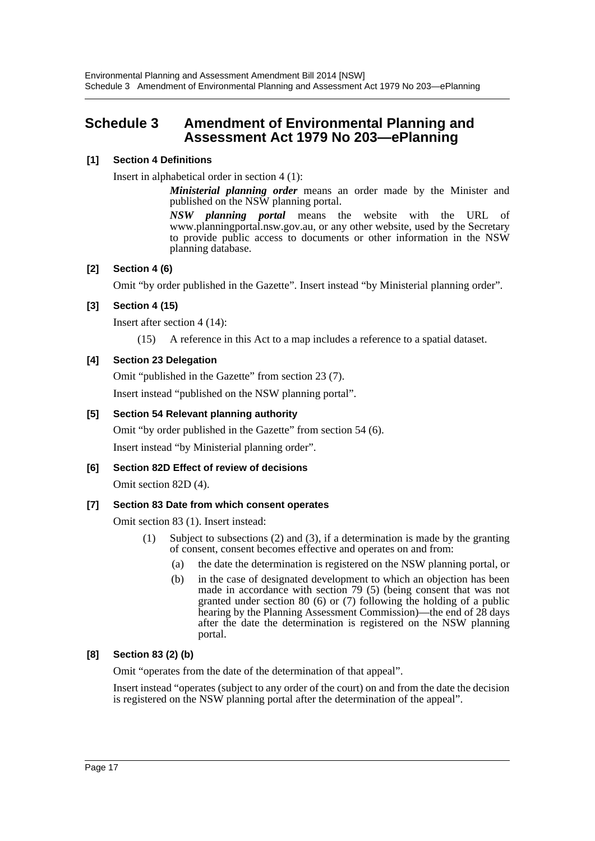# <span id="page-17-0"></span>**Schedule 3 Amendment of Environmental Planning and Assessment Act 1979 No 203—ePlanning**

# **[1] Section 4 Definitions**

Insert in alphabetical order in section 4 (1):

*Ministerial planning order* means an order made by the Minister and published on the NSW planning portal.

*NSW planning portal* means the website with the URL of www.planningportal.nsw.gov.au, or any other website, used by the Secretary to provide public access to documents or other information in the NSW planning database.

# **[2] Section 4 (6)**

Omit "by order published in the Gazette". Insert instead "by Ministerial planning order".

# **[3] Section 4 (15)**

Insert after section 4 (14):

(15) A reference in this Act to a map includes a reference to a spatial dataset.

# **[4] Section 23 Delegation**

Omit "published in the Gazette" from section 23 (7). Insert instead "published on the NSW planning portal".

# **[5] Section 54 Relevant planning authority**

Omit "by order published in the Gazette" from section 54 (6). Insert instead "by Ministerial planning order".

**[6] Section 82D Effect of review of decisions**

Omit section 82D (4).

# **[7] Section 83 Date from which consent operates**

Omit section 83 (1). Insert instead:

- (1) Subject to subsections (2) and (3), if a determination is made by the granting of consent, consent becomes effective and operates on and from:
	- (a) the date the determination is registered on the NSW planning portal, or
	- (b) in the case of designated development to which an objection has been made in accordance with section 79 (5) (being consent that was not granted under section 80 (6) or (7) following the holding of a public hearing by the Planning Assessment Commission)—the end of 28 days after the date the determination is registered on the NSW planning portal.

# **[8] Section 83 (2) (b)**

Omit "operates from the date of the determination of that appeal".

Insert instead "operates (subject to any order of the court) on and from the date the decision is registered on the NSW planning portal after the determination of the appeal".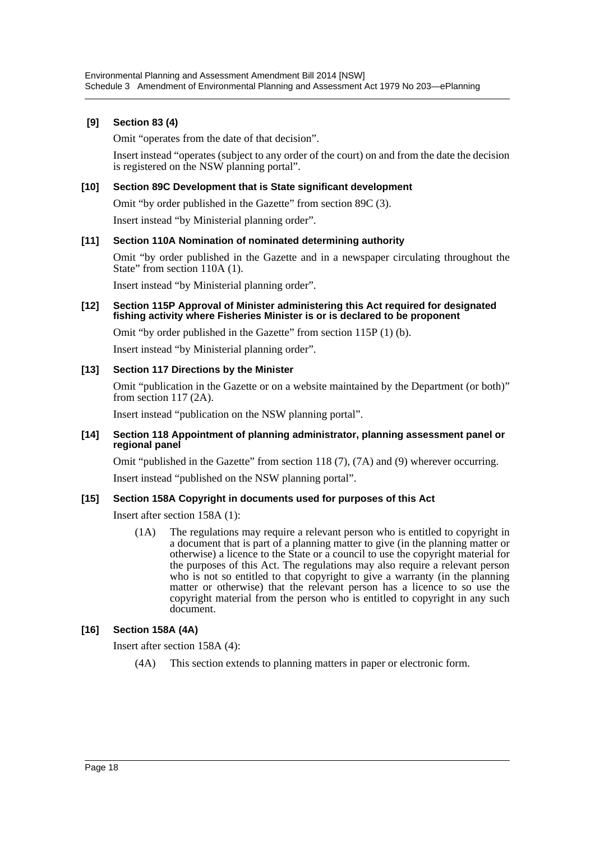# **[9] Section 83 (4)**

Omit "operates from the date of that decision".

Insert instead "operates (subject to any order of the court) on and from the date the decision is registered on the NSW planning portal".

### **[10] Section 89C Development that is State significant development**

Omit "by order published in the Gazette" from section 89C (3).

Insert instead "by Ministerial planning order".

#### **[11] Section 110A Nomination of nominated determining authority**

Omit "by order published in the Gazette and in a newspaper circulating throughout the State" from section 110A (1).

Insert instead "by Ministerial planning order".

#### **[12] Section 115P Approval of Minister administering this Act required for designated fishing activity where Fisheries Minister is or is declared to be proponent**

Omit "by order published in the Gazette" from section 115P (1) (b).

Insert instead "by Ministerial planning order".

# **[13] Section 117 Directions by the Minister**

Omit "publication in the Gazette or on a website maintained by the Department (or both)" from section 117 (2A).

Insert instead "publication on the NSW planning portal".

#### **[14] Section 118 Appointment of planning administrator, planning assessment panel or regional panel**

Omit "published in the Gazette" from section 118 (7), (7A) and (9) wherever occurring.

Insert instead "published on the NSW planning portal".

#### **[15] Section 158A Copyright in documents used for purposes of this Act**

Insert after section 158A (1):

(1A) The regulations may require a relevant person who is entitled to copyright in a document that is part of a planning matter to give (in the planning matter or otherwise) a licence to the State or a council to use the copyright material for the purposes of this Act. The regulations may also require a relevant person who is not so entitled to that copyright to give a warranty (in the planning matter or otherwise) that the relevant person has a licence to so use the copyright material from the person who is entitled to copyright in any such document.

# **[16] Section 158A (4A)**

Insert after section 158A (4):

(4A) This section extends to planning matters in paper or electronic form.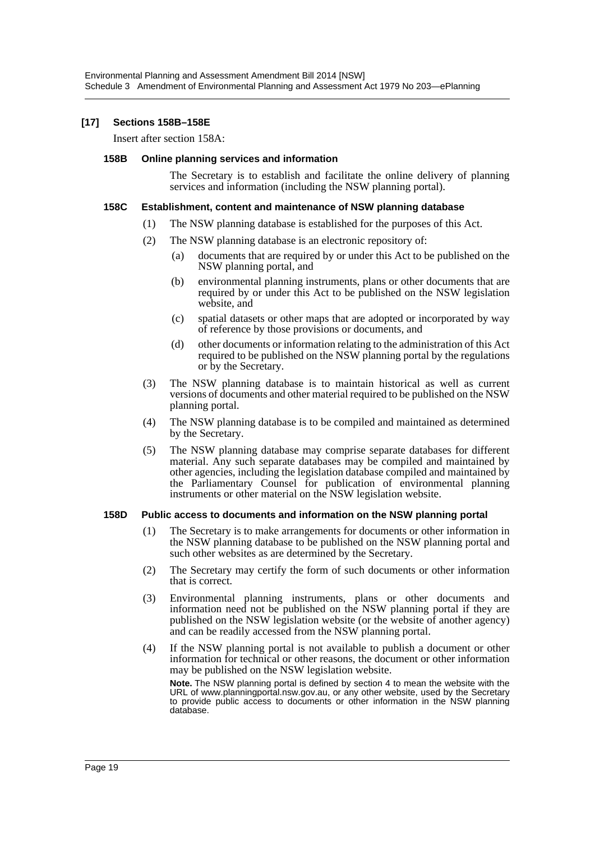#### **[17] Sections 158B–158E**

Insert after section 158A:

#### **158B Online planning services and information**

The Secretary is to establish and facilitate the online delivery of planning services and information (including the NSW planning portal).

#### **158C Establishment, content and maintenance of NSW planning database**

- (1) The NSW planning database is established for the purposes of this Act.
- (2) The NSW planning database is an electronic repository of:
	- (a) documents that are required by or under this Act to be published on the NSW planning portal, and
	- (b) environmental planning instruments, plans or other documents that are required by or under this Act to be published on the NSW legislation website, and
	- (c) spatial datasets or other maps that are adopted or incorporated by way of reference by those provisions or documents, and
	- (d) other documents or information relating to the administration of this Act required to be published on the NSW planning portal by the regulations or by the Secretary.
- (3) The NSW planning database is to maintain historical as well as current versions of documents and other material required to be published on the NSW planning portal.
- (4) The NSW planning database is to be compiled and maintained as determined by the Secretary.
- (5) The NSW planning database may comprise separate databases for different material. Any such separate databases may be compiled and maintained by other agencies, including the legislation database compiled and maintained by the Parliamentary Counsel for publication of environmental planning instruments or other material on the NSW legislation website.

#### **158D Public access to documents and information on the NSW planning portal**

- (1) The Secretary is to make arrangements for documents or other information in the NSW planning database to be published on the NSW planning portal and such other websites as are determined by the Secretary.
- (2) The Secretary may certify the form of such documents or other information that is correct.
- (3) Environmental planning instruments, plans or other documents and information need not be published on the NSW planning portal if they are published on the NSW legislation website (or the website of another agency) and can be readily accessed from the NSW planning portal.
- (4) If the NSW planning portal is not available to publish a document or other information for technical or other reasons, the document or other information may be published on the NSW legislation website.

**Note.** The NSW planning portal is defined by section 4 to mean the website with the URL of www.planningportal.nsw.gov.au, or any other website, used by the Secretary to provide public access to documents or other information in the NSW planning database.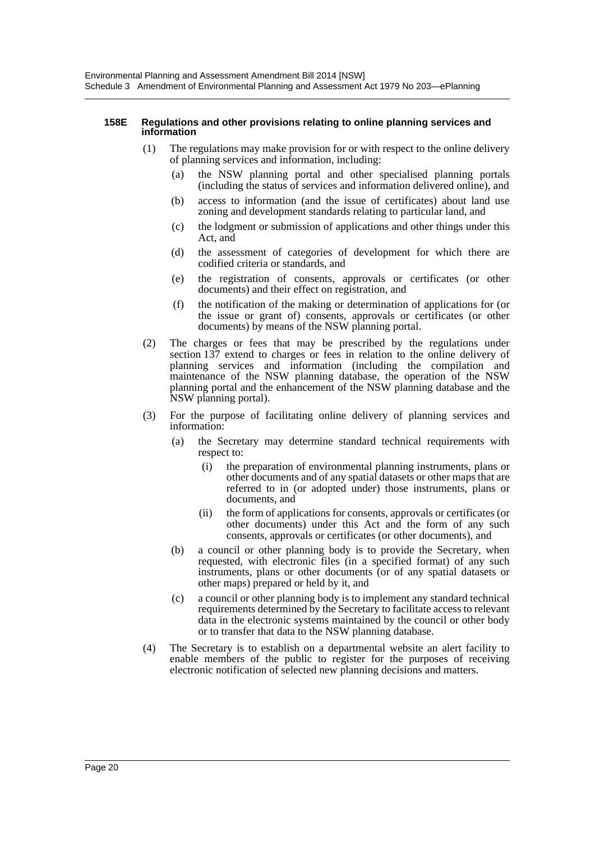#### **158E Regulations and other provisions relating to online planning services and information**

- (1) The regulations may make provision for or with respect to the online delivery of planning services and information, including:
	- (a) the NSW planning portal and other specialised planning portals (including the status of services and information delivered online), and
	- (b) access to information (and the issue of certificates) about land use zoning and development standards relating to particular land, and
	- (c) the lodgment or submission of applications and other things under this Act, and
	- (d) the assessment of categories of development for which there are codified criteria or standards, and
	- (e) the registration of consents, approvals or certificates (or other documents) and their effect on registration, and
	- (f) the notification of the making or determination of applications for (or the issue or grant of) consents, approvals or certificates (or other documents) by means of the NSW planning portal.
- (2) The charges or fees that may be prescribed by the regulations under section 137 extend to charges or fees in relation to the online delivery of planning services and information (including the compilation and maintenance of the NSW planning database, the operation of the NSW planning portal and the enhancement of the NSW planning database and the NSW planning portal).
- (3) For the purpose of facilitating online delivery of planning services and information:
	- (a) the Secretary may determine standard technical requirements with respect to:
		- (i) the preparation of environmental planning instruments, plans or other documents and of any spatial datasets or other maps that are referred to in (or adopted under) those instruments, plans or documents, and
		- (ii) the form of applications for consents, approvals or certificates (or other documents) under this Act and the form of any such consents, approvals or certificates (or other documents), and
	- (b) a council or other planning body is to provide the Secretary, when requested, with electronic files (in a specified format) of any such instruments, plans or other documents (or of any spatial datasets or other maps) prepared or held by it, and
	- (c) a council or other planning body is to implement any standard technical requirements determined by the Secretary to facilitate access to relevant data in the electronic systems maintained by the council or other body or to transfer that data to the NSW planning database.
- (4) The Secretary is to establish on a departmental website an alert facility to enable members of the public to register for the purposes of receiving electronic notification of selected new planning decisions and matters.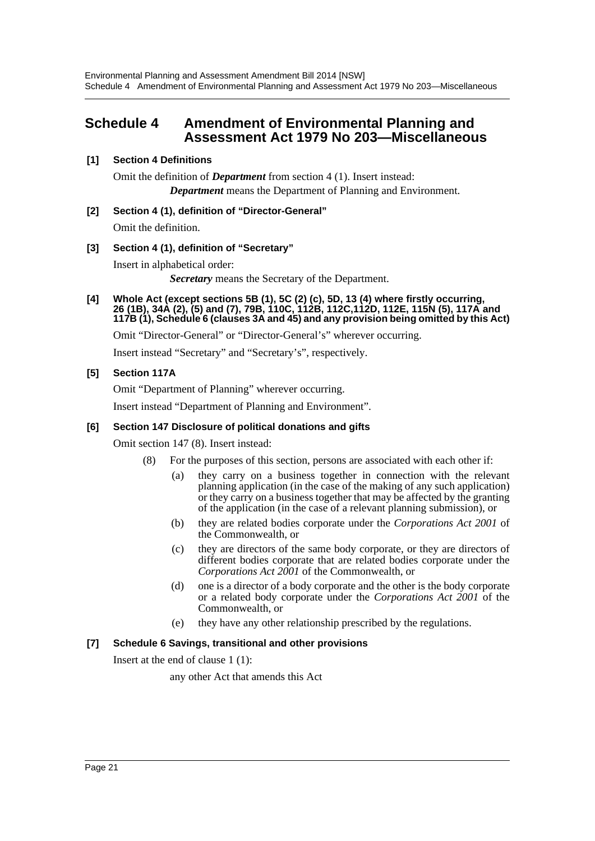# <span id="page-21-0"></span>**Schedule 4 Amendment of Environmental Planning and Assessment Act 1979 No 203—Miscellaneous**

# **[1] Section 4 Definitions**

Omit the definition of *Department* from section 4 (1). Insert instead: *Department* means the Department of Planning and Environment.

# **[2] Section 4 (1), definition of "Director-General"**

Omit the definition.

# **[3] Section 4 (1), definition of "Secretary"**

Insert in alphabetical order:

*Secretary* means the Secretary of the Department.

**[4] Whole Act (except sections 5B (1), 5C (2) (c), 5D, 13 (4) where firstly occurring, 26 (1B), 34A (2), (5) and (7), 79B, 110C, 112B, 112C,112D, 112E, 115N (5), 117A and 117B (1), Schedule 6 (clauses 3A and 45) and any provision being omitted by this Act)**

Omit "Director-General" or "Director-General's" wherever occurring.

Insert instead "Secretary" and "Secretary's", respectively.

# **[5] Section 117A**

Omit "Department of Planning" wherever occurring.

Insert instead "Department of Planning and Environment".

# **[6] Section 147 Disclosure of political donations and gifts**

Omit section 147 (8). Insert instead:

- (8) For the purposes of this section, persons are associated with each other if:
	- (a) they carry on a business together in connection with the relevant planning application (in the case of the making of any such application) or they carry on a business together that may be affected by the granting of the application (in the case of a relevant planning submission), or
	- (b) they are related bodies corporate under the *Corporations Act 2001* of the Commonwealth, or
	- (c) they are directors of the same body corporate, or they are directors of different bodies corporate that are related bodies corporate under the *Corporations Act 2001* of the Commonwealth, or
	- (d) one is a director of a body corporate and the other is the body corporate or a related body corporate under the *Corporations Act 2001* of the Commonwealth, or
	- (e) they have any other relationship prescribed by the regulations.

# **[7] Schedule 6 Savings, transitional and other provisions**

Insert at the end of clause 1 (1):

any other Act that amends this Act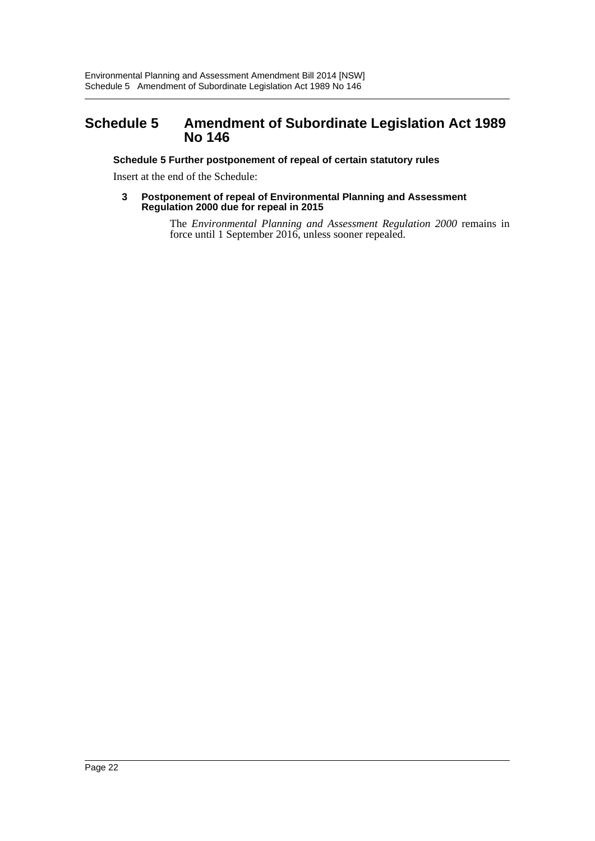# <span id="page-22-0"></span>**Schedule 5 Amendment of Subordinate Legislation Act 1989 No 146**

# **Schedule 5 Further postponement of repeal of certain statutory rules**

Insert at the end of the Schedule:

**3 Postponement of repeal of Environmental Planning and Assessment Regulation 2000 due for repeal in 2015**

> The *Environmental Planning and Assessment Regulation 2000* remains in force until 1 September 2016, unless sooner repealed.